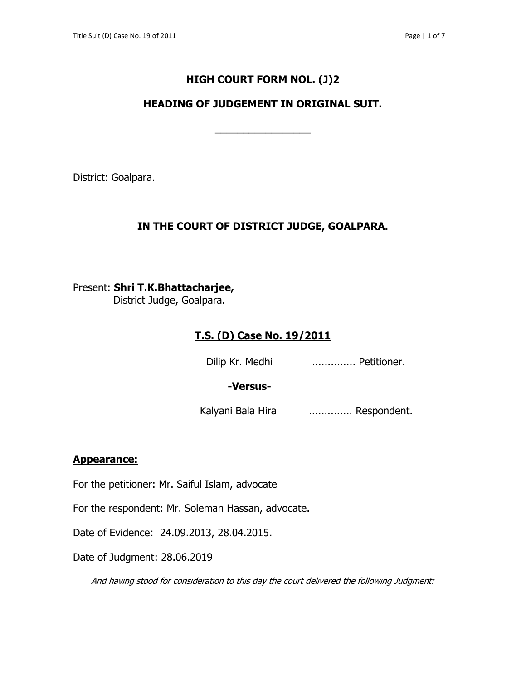# **HIGH COURT FORM NOL. (J)2**

# **HEADING OF JUDGEMENT IN ORIGINAL SUIT.**

 $\overline{\phantom{a}}$  , and the set of the set of the set of the set of the set of the set of the set of the set of the set of the set of the set of the set of the set of the set of the set of the set of the set of the set of the s

District: Goalpara.

## **IN THE COURT OF DISTRICT JUDGE, GOALPARA.**

Present: **Shri T.K.Bhattacharjee,**  District Judge, Goalpara.

# **T.S. (D) Case No. 19/2011**

Dilip Kr. Medhi ................ Petitioner.

### **-Versus-**

Kalyani Bala Hira .............. Respondent.

## **Appearance:**

For the petitioner: Mr. Saiful Islam, advocate

For the respondent: Mr. Soleman Hassan, advocate.

Date of Evidence: 24.09.2013, 28.04.2015.

Date of Judgment: 28.06.2019

And having stood for consideration to this day the court delivered the following Judgment: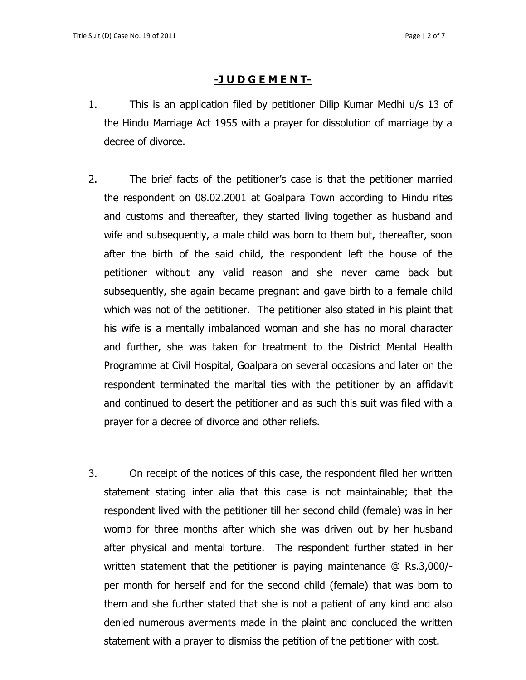### **-J U D G E M E N T-**

- 1. This is an application filed by petitioner Dilip Kumar Medhi u/s 13 of the Hindu Marriage Act 1955 with a prayer for dissolution of marriage by a decree of divorce.
- 2. The brief facts of the petitioner's case is that the petitioner married the respondent on 08.02.2001 at Goalpara Town according to Hindu rites and customs and thereafter, they started living together as husband and wife and subsequently, a male child was born to them but, thereafter, soon after the birth of the said child, the respondent left the house of the petitioner without any valid reason and she never came back but subsequently, she again became pregnant and gave birth to a female child which was not of the petitioner. The petitioner also stated in his plaint that his wife is a mentally imbalanced woman and she has no moral character and further, she was taken for treatment to the District Mental Health Programme at Civil Hospital, Goalpara on several occasions and later on the respondent terminated the marital ties with the petitioner by an affidavit and continued to desert the petitioner and as such this suit was filed with a prayer for a decree of divorce and other reliefs.
- 3. On receipt of the notices of this case, the respondent filed her written statement stating inter alia that this case is not maintainable; that the respondent lived with the petitioner till her second child (female) was in her womb for three months after which she was driven out by her husband after physical and mental torture. The respondent further stated in her written statement that the petitioner is paying maintenance @ Rs.3,000/ per month for herself and for the second child (female) that was born to them and she further stated that she is not a patient of any kind and also denied numerous averments made in the plaint and concluded the written statement with a prayer to dismiss the petition of the petitioner with cost.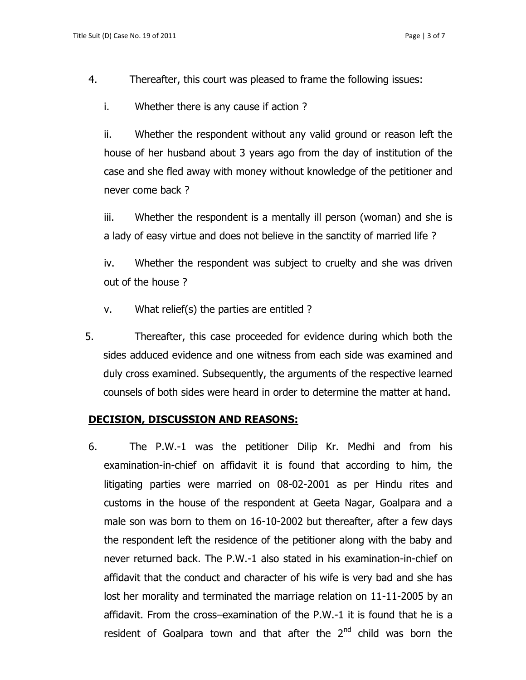- 4. Thereafter, this court was pleased to frame the following issues:
	- i. Whether there is any cause if action ?

ii. Whether the respondent without any valid ground or reason left the house of her husband about 3 years ago from the day of institution of the case and she fled away with money without knowledge of the petitioner and never come back ?

iii. Whether the respondent is a mentally ill person (woman) and she is a lady of easy virtue and does not believe in the sanctity of married life ?

iv. Whether the respondent was subject to cruelty and she was driven out of the house ?

- v. What relief(s) the parties are entitled ?
- 5. Thereafter, this case proceeded for evidence during which both the sides adduced evidence and one witness from each side was examined and duly cross examined. Subsequently, the arguments of the respective learned counsels of both sides were heard in order to determine the matter at hand.

#### **DECISION, DISCUSSION AND REASONS:**

6. The P.W.-1 was the petitioner Dilip Kr. Medhi and from his examination-in-chief on affidavit it is found that according to him, the litigating parties were married on 08-02-2001 as per Hindu rites and customs in the house of the respondent at Geeta Nagar, Goalpara and a male son was born to them on 16-10-2002 but thereafter, after a few days the respondent left the residence of the petitioner along with the baby and never returned back. The P.W.-1 also stated in his examination-in-chief on affidavit that the conduct and character of his wife is very bad and she has lost her morality and terminated the marriage relation on 11-11-2005 by an affidavit. From the cross–examination of the P.W.-1 it is found that he is a resident of Goalpara town and that after the  $2^{nd}$  child was born the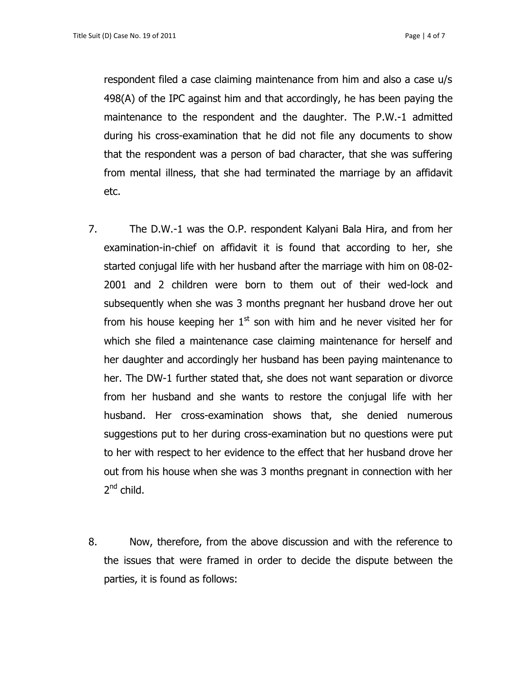respondent filed a case claiming maintenance from him and also a case u/s 498(A) of the IPC against him and that accordingly, he has been paying the maintenance to the respondent and the daughter. The P.W.-1 admitted during his cross-examination that he did not file any documents to show that the respondent was a person of bad character, that she was suffering from mental illness, that she had terminated the marriage by an affidavit etc.

- 7. The D.W.-1 was the O.P. respondent Kalyani Bala Hira, and from her examination-in-chief on affidavit it is found that according to her, she started conjugal life with her husband after the marriage with him on 08-02- 2001 and 2 children were born to them out of their wed-lock and subsequently when she was 3 months pregnant her husband drove her out from his house keeping her  $1<sup>st</sup>$  son with him and he never visited her for which she filed a maintenance case claiming maintenance for herself and her daughter and accordingly her husband has been paying maintenance to her. The DW-1 further stated that, she does not want separation or divorce from her husband and she wants to restore the conjugal life with her husband. Her cross-examination shows that, she denied numerous suggestions put to her during cross-examination but no questions were put to her with respect to her evidence to the effect that her husband drove her out from his house when she was 3 months pregnant in connection with her 2<sup>nd</sup> child.
- 8. Now, therefore, from the above discussion and with the reference to the issues that were framed in order to decide the dispute between the parties, it is found as follows: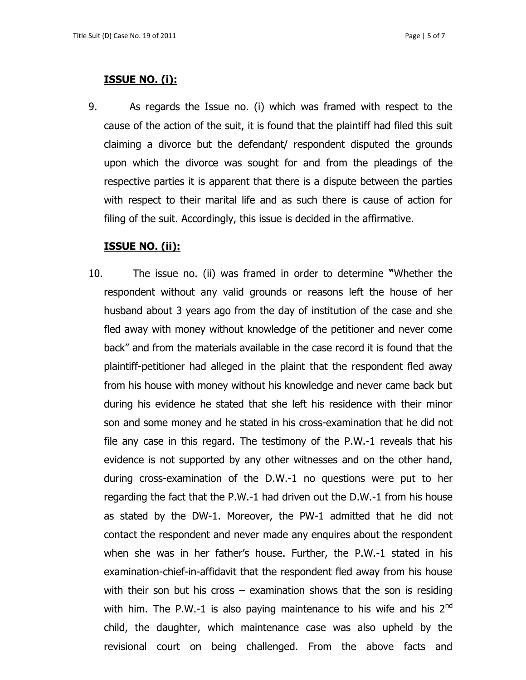#### **ISSUE NO. (i):**

9. As regards the Issue no. (i) which was framed with respect to the cause of the action of the suit, it is found that the plaintiff had filed this suit claiming a divorce but the defendant/ respondent disputed the grounds upon which the divorce was sought for and from the pleadings of the respective parties it is apparent that there is a dispute between the parties with respect to their marital life and as such there is cause of action for filing of the suit. Accordingly, this issue is decided in the affirmative.

#### **ISSUE NO. (ii):**

10. The issue no. (ii) was framed in order to determine **"**Whether the respondent without any valid grounds or reasons left the house of her husband about 3 years ago from the day of institution of the case and she fled away with money without knowledge of the petitioner and never come back" and from the materials available in the case record it is found that the plaintiff-petitioner had alleged in the plaint that the respondent fled away from his house with money without his knowledge and never came back but during his evidence he stated that she left his residence with their minor son and some money and he stated in his cross-examination that he did not file any case in this regard. The testimony of the P.W.-1 reveals that his evidence is not supported by any other witnesses and on the other hand, during cross-examination of the D.W.-1 no questions were put to her regarding the fact that the P.W.-1 had driven out the D.W.-1 from his house as stated by the DW-1. Moreover, the PW-1 admitted that he did not contact the respondent and never made any enquires about the respondent when she was in her father's house. Further, the P.W.-1 stated in his examination-chief-in-affidavit that the respondent fled away from his house with their son but his cross – examination shows that the son is residing with him. The P.W.-1 is also paying maintenance to his wife and his  $2<sup>nd</sup>$ child, the daughter, which maintenance case was also upheld by the revisional court on being challenged. From the above facts and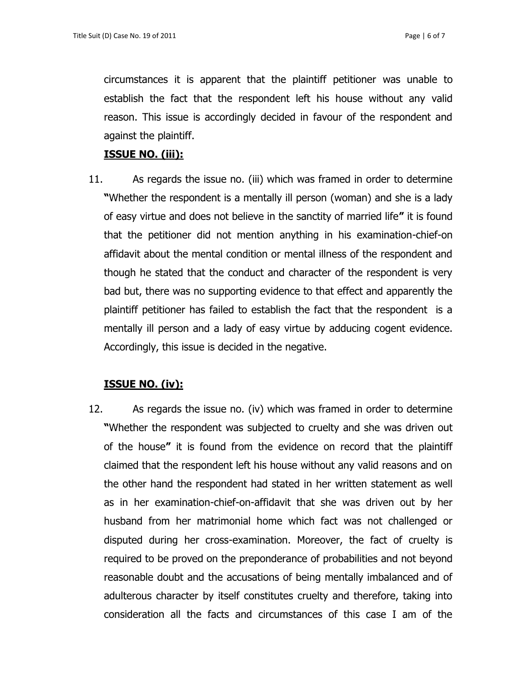circumstances it is apparent that the plaintiff petitioner was unable to establish the fact that the respondent left his house without any valid reason. This issue is accordingly decided in favour of the respondent and against the plaintiff.

### **ISSUE NO. (iii):**

11. As regards the issue no. (iii) which was framed in order to determine **"**Whether the respondent is a mentally ill person (woman) and she is a lady of easy virtue and does not believe in the sanctity of married life**"** it is found that the petitioner did not mention anything in his examination-chief-on affidavit about the mental condition or mental illness of the respondent and though he stated that the conduct and character of the respondent is very bad but, there was no supporting evidence to that effect and apparently the plaintiff petitioner has failed to establish the fact that the respondent is a mentally ill person and a lady of easy virtue by adducing cogent evidence. Accordingly, this issue is decided in the negative.

# **ISSUE NO. (iv):**

12. As regards the issue no. (iv) which was framed in order to determine **"**Whether the respondent was subjected to cruelty and she was driven out of the house**"** it is found from the evidence on record that the plaintiff claimed that the respondent left his house without any valid reasons and on the other hand the respondent had stated in her written statement as well as in her examination-chief-on-affidavit that she was driven out by her husband from her matrimonial home which fact was not challenged or disputed during her cross-examination. Moreover, the fact of cruelty is required to be proved on the preponderance of probabilities and not beyond reasonable doubt and the accusations of being mentally imbalanced and of adulterous character by itself constitutes cruelty and therefore, taking into consideration all the facts and circumstances of this case I am of the